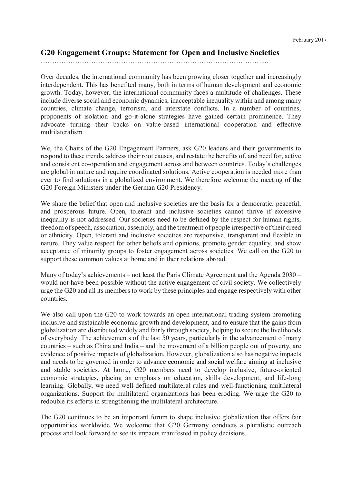# **G20 Engagement Groups: Statement for Open and Inclusive Societies**

## ……………………………………………………………………………………....

Over decades, the international community has been growing closer together and increasingly interdependent. This has benefited many, both in terms of human development and economic growth. Today, however, the international community faces a multitude of challenges. These include diverse social and economic dynamics, inacceptable inequality within and among many countries, climate change, terrorism, and interstate conflicts. In a number of countries, proponents of isolation and go-it-alone strategies have gained certain prominence. They advocate turning their backs on value-based international cooperation and effective multilateralism.

We, the Chairs of the G20 Engagement Partners, ask G20 leaders and their governments to respond to these trends, address their root causes, and restate the benefits of, and need for, active and consistent co-operation and engagement across and between countries. Today's challenges are global in nature and require coordinated solutions. Active cooperation is needed more than ever to find solutions in a globalized environment. We therefore welcome the meeting of the G20 Foreign Ministers under the German G20 Presidency.

We share the belief that open and inclusive societies are the basis for a democratic, peaceful, and prosperous future. Open, tolerant and inclusive societies cannot thrive if excessive inequality is not addressed. Our societies need to be defined by the respect for human rights, freedom of speech, association, assembly, and the treatment of people irrespective of their creed or ethnicity. Open, tolerant and inclusive societies are responsive, transparent and flexible in nature. They value respect for other beliefs and opinions, promote gender equality, and show acceptance of minority groups to foster engagement across societies. We call on the G20 to support these common values at home and in their relations abroad.

Many of today's achievements – not least the Paris Climate Agreement and the Agenda 2030 – would not have been possible without the active engagement of civil society. We collectively urge the G20 and all its members to work by these principles and engage respectively with other countries.

We also call upon the G20 to work towards an open international trading system promoting inclusive and sustainable economic growth and development, and to ensure that the gains from globalization are distributed widely and fairly through society, helping to secure the livelihoods of everybody. The achievements of the last 50 years, particularly in the advancement of many countries – such as China and India – and the movement of a billion people out of poverty, are evidence of positive impacts of globalization. However, globalization also has negative impacts and needs to be governed in order to advance economic and social welfare aiming at inclusive and stable societies. At home, G20 members need to develop inclusive, future-oriented economic strategies, placing an emphasis on education, skills development, and life-long learning. Globally, we need well-defined multilateral rules and well-functioning multilateral organizations. Support for multilateral organizations has been eroding. We urge the G20 to redouble its efforts in strengthening the multilateral architecture.

The G20 continues to be an important forum to shape inclusive globalization that offers fair opportunities worldwide. We welcome that G20 Germany conducts a pluralistic outreach process and look forward to see its impacts manifested in policy decisions.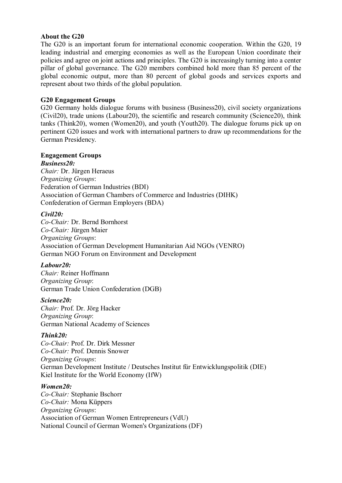## **About the G20**

The G20 is an important forum for international economic cooperation. Within the G20, 19 leading industrial and emerging economies as well as the European Union coordinate their policies and agree on joint actions and principles. The G20 is increasingly turning into a center pillar of global governance. The G20 members combined hold more than 85 percent of the global economic output, more than 80 percent of global goods and services exports and represent about two thirds of the global population.

# **G20 Engagement Groups**

G20 Germany holds dialogue forums with business (Business20), civil society organizations (Civil20), trade unions (Labour20), the scientific and research community (Science20), think tanks (Think20), women (Women20), and youth (Youth20). The dialogue forums pick up on pertinent G20 issues and work with international partners to draw up recommendations for the German Presidency.

# **Engagement Groups**

*Business20: Chair:* Dr. Jürgen Heraeus *Organizing Groups*: Federation of German Industries (BDI) Association of German Chambers of Commerce and Industries (DIHK) Confederation of German Employers (BDA)

#### *Civil20:*

*Co-Chair:* Dr. Bernd Bornhorst *Co-Chair:* Jürgen Maier *Organizing Groups*: Association of German Development Humanitarian Aid NGOs (VENRO) German NGO Forum on Environment and Development

# *Labour20:*

*Chair:* Reiner Hoffmann *Organizing Group*: German Trade Union Confederation (DGB)

# *Science20:*

*Chair:* Prof. Dr. Jörg Hacker *Organizing Group*: German National Academy of Sciences

# *Think20:*

*Co-Chair:* Prof. Dr. Dirk Messner *Co-Chair:* Prof. Dennis Snower *Organizing Groups*: German Development Institute / Deutsches Institut für Entwicklungspolitik (DIE) Kiel Institute for the World Economy (IfW)

#### *Women20:*

*Co-Chair:* Stephanie Bschorr *Co-Chair:* Mona Küppers *Organizing Groups*: Association of German Women Entrepreneurs (VdU) National Council of German Women's Organizations (DF)